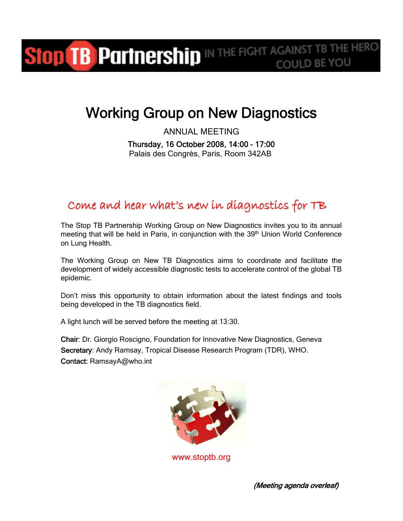## Stop TB Partnership IN THE FIGHT AGAINST TB THE HERO COULD BE YOU

# Working Group on New Diagnostics

ANNUAL MEETING Thursday, 16 October 2008, 14:00 – 17:00 Palais des Congrès, Paris, Room 342AB

### Come and hear what's new in diagnostics for TB

The Stop TB Partnership Working Group on New Diagnostics invites you to its annual meeting that will be held in Paris, in conjunction with the 39<sup>th</sup> Union World Conference on Lung Health.

The Working Group on New TB Diagnostics aims to coordinate and facilitate the development of widely accessible diagnostic tests to accelerate control of the global TB epidemic.

Don't miss this opportunity to obtain information about the latest findings and tools being developed in the TB diagnostics field.

A light lunch will be served before the meeting at 13:30.

Chair: Dr. Giorgio Roscigno, Foundation for Innovative New Diagnostics, Geneva Secretary: Andy Ramsay, Tropical Disease Research Program (TDR), WHO. Contact: RamsayA@who.int



www.stoptb.org

(Meeting agenda overleaf)